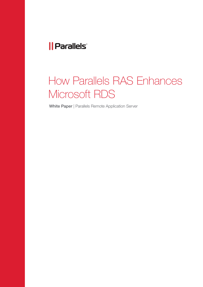### *|| Parallels*

# How Parallels RAS Enhances Microsoft RDS

White Paper | Parallels Remote Application Server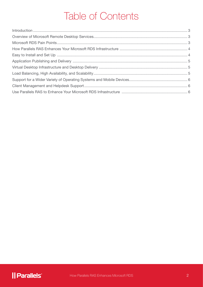## Table of Contents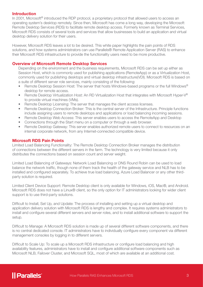#### Introduction

In 2001, Microsoft<sup>®</sup> introduced the RDP protocol, a proprietary protocol that allowed users to access an operating system's desktop remotely. Since then, Microsoft has come a long way, developing the Microsoft Remote Desktop Services (RDS) to facilitate remote desktop access. Formerly known as Terminal Services, Microsoft RDS consists of several tools and services that allow businesses to build an application and virtual desktop delivery solution for their users.

However, Microsoft RDS leaves a lot to be desired. This white paper highlights the pain points of RDS solutions, and how systems administrators can use Parallels® Remote Application Server (RAS) to enhance their Microsoft RDS infrastructure to provide the functionality users need to be more productive.

#### Overview of Microsoft Remote Desktop Services

Depending on the environment and the business requirements, Microsoft RDS can be set up either as Session Host, which is commonly used for publishing applications (RemoteApp) or as a Virtualization Host, commonly used for publishing desktops and virtual desktop infrastructure(VDI). Microsoft RDS is based on a suite of different server role services, mainly consisting of the following:

- Remote Desktop Session Host: The server that hosts Windows-based programs or the full Windows® desktop for remote access.
- Remote Desktop Virtualization Host: An RD Virtualization Host that integrates with Microsoft Hyper-V® to provide virtual machines (VMs).
- Remote Desktop Licensing: The server that manages the client access licenses.
- Remote Desktop Connection Broker: This is the central server of the Infrastructure. Principle functions include assigning users to remote desktops and applications or load balancing incoming sessions.
- Remote Desktop Web Access: This server enables users to access the RemoteApp and Desktop
- Connections through the Start menu on a computer or through a web browser.
- Remote Desktop Gateway: This server enables authorized remote users to connect to resources on an internal corporate network, from any Internet-connected compatible device.

#### Microsoft RDS Pain Points

Limited Load Balancing Functionality: The Remote Desktop Connection Broker manages the distribution of connections between the different servers in the farm. The technology is very limited because it only distributes the connections based on session count and server weight.

Limited Load Balancing of Gateways: Network Load Balancing or DNS Round Robin can be used to load balance the network traffic, though none of them track the health of the gateway service and NLB has to be installed and configured separately. To achieve true load balancing, Azure Load Balancer or any other thirdparty solution is required.

Limited Client Device Support: Remote Desktop client is only available for Windows, iOS, Mac®, and Android. Microsoft RDS does not have a Linux® client, so the only option for IT administrators looking for wider client support is to use third-party solutions.

Difficult to Install, Set Up, and Update: The process of installing and setting up a virtual desktop and application delivery solution with Microsoft RDS is lengthy and complex. It requires systems administrators to install and configure several different servers and server roles, and to install additional software to support the setup.

Difficult to Manage: A Microsoft RDS solution is made up of several different software components, and there is no central dedicated console. IT administrators have to individually configure every component via different management consoles by logging in to different servers.

Difficult to Scale Up: To scale up a Microsoft RDS infrastructure or configure load balancing and high availability features, administrators have to install and configure additional software components such as Microsoft NLB, Failover Cluster, and Microsoft SQL, most of which are available at an additional cost.

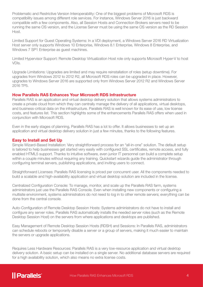Problematic and Restrictive Version Interoperability: One of the biggest problems of Microsoft RDS is compatibility issues among different role services. For instance, Windows Server 2016 is just backward compatible with a few components. Also, all Session Hosts and Connection Brokers servers need to be running the same OS version, and the License Server must be using the same OS version as the RD Session Host.

Limited Support for Guest Operating Systems: In a VDI deployment, a Windows Server 2016 RD Virtualization Host server only supports Windows 10 Enterprise, Windows 8.1 Enterprise, Windows 8 Enterprise, and Windows 7 SP1 Enterprise as quest machines.

Limited Hypervisor Support: Remote Desktop Virtualization Host role only supports Microsoft Hyper-V to host VDIs.

Upgrade Limitations: Upgrades are limited and may require reinstallation of roles (setup downtime). For upgrades from Windows 2012 to 2012 R2, all Microsoft RDS roles can be upgraded in place. However, upgrades to Windows Server 2016 are supported only from Windows Server 2012 R2 and Windows Server 2016 TP5.

#### How Parallels RAS Enhances Your Microsoft RDS Infrastructure

Parallels RAS is an application and virtual desktop delivery solution that allows systems administrators to create a private cloud from which they can centrally manage the delivery of all applications, virtual desktops, and business-critical data on the infrastructure. Parallels RAS is well known for its ease of use, low license costs, and features list. This section highlights some of the enhancements Parallels RAS offers when used in conjunction with Microsoft RDS.

Even in the early stages of planning, Parallels RAS has a lot to offer. It allows businesses to set up an application and virtual desktop delivery solution in just a few minutes, thanks to the following features.

#### Easy to Install and Set Up

Simple Wizard-Based Installation: Very straightforward process for an "all-in-one" solution. The default setup is tailored to help businesses get started very easily with configured SSL certificates, remote access, and fully enabled HTML5 support. Thanks to intuitive software, even junior IT personnel can build a complete setup within a couple minutes without requiring any training. Quickstart wizards guide the administrator through configuring terminal servers, publishing applications, and inviting users to connect.

Straightforward Licenses: Parallels RAS licensing is priced per concurrent user. All the components needed to build a scalable and high-availability application and virtual desktop solution are included in the license.

Centralized Configuration Console: To manage, monitor, and scale up the Parallels RAS farm, systems administrators just use the Parallels RAS Console. Even when installing new components or configuring a multisite environment, systems administrators do not need to log in to other remote servers; everything can be done from the central console.

Auto-Configuration of Remote Desktop Session Hosts: Systems administrators do not have to install and configure any server roles. Parallels RAS automatically installs the needed server roles (such as the Remote Desktop Session Host) on the servers from where applications and desktops are published.

Easy Management of Remote Desktop Session Hosts (RDSH) and Sessions: In Parallels RAS, administrators can schedule reboots or temporarily disable a server or a group of servers, making it much easier to maintain the servers or upgrade applications.

Requires Less Hardware Resources: Parallels RAS is a very low-resource application and virtual desktop delivery solution. A basic setup can be installed on a single server. No additional database servers are required for a high availability solution, which also means no extra license costs.

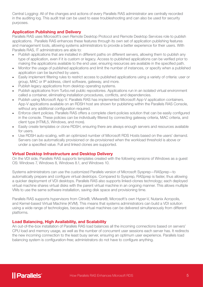Central Logging: All of the changes and actions of every Parallels RAS administrator are centrally recorded in the auditing log. This audit trail can be used to ease troubleshooting and can also be used for security purposes.

#### Application Publishing and Delivery

Parallels RAS uses Microsoft's own Remote Desktop Protocol and Remote Desktop Services role to publish applications. Parallels RAS enhances these features through its own set of application publishing features and management tools, allowing systems administrators to provide a better experience for their users. With Parallels RAS, IT administrators are able to:

- Publish applications that are installed in different paths on different servers, allowing them to publish any type of application, even if it is custom or legacy. Access to published applications can be verified prior to making the applications available to the end user, ensuring resources are available in the specified path.
- Monitor the usage of published applications and limit the number of instances, or specify when a published application can be launched by users.
- Easily implement filtering rules to restrict access to published applications using a variety of criteria: user or group, MAC or IP address, client software, gateway, and more.
- Publish legacy applications from desktop operating systems.
- Publish applications from Turbo.net public repositories. Applications run in an isolated virtual environment called a container, eliminating installation procedures, conflicts, and dependencies.
- Publish using Microsoft App-V. Parallels RAS has implemented Microsoft App-V application containers. App-V applications available on an RDSH host are shown for publishing within the Parallels RAS Console, without any additional configuration required.
- Enforce client policies. Parallels RAS offers a complete client-policies solution that can be easily configured in the console. These policies can be individually filtered by connecting gateway criteria, MAC criteria, and client type (HTML5, Windows, and more).
- Easily create templates or clone RDSH, ensuring there are always enough servers and resources available for users.
- Use RDSH auto-scaling, with an optimized number of Microsoft RDS Hosts based on the users' demand. Servers can be automatically provisioned or de-provisioned when the workload threshold is above or under a specified value. Full and linked clones are supported.

#### Virtual Desktop Infrastructure and Desktop Delivery

On the VDI side, Parallels RAS supports templates created with the following versions of Windows as a guest OS: Windows 7, Windows 8, Windows 8.1, and Windows 10.

Systems administrators can use the customized Parallels version of Microsoft Sysprep—RASprep—to automatically prepare and configure virtual desktops. Compared to Sysprep, RASprep is faster, thus allowing a quicker deployment of VDI desktops. Parallels RAS also supports linked-clones technology; each deployed virtual machine shares virtual disks with the parent virtual machine in an ongoing manner. This allows multiple VMs to use the same software installation, saving disk space and provisioning time.

Parallels RAS supports hypervisors from Citrix®, VMware®, Microsoft's own Hyper-V, Nutanix Acropolis, and Kernel-based Virtual Machine (KVM). This means that systems administrators can build a VDI solution using a wide range of technologies, because virtual machines can be delivered simultaneously from different platforms.

#### Load Balancing, High Availability, and Scalability

An out-of-the-box installation of Parallels RAS load balances all the incoming connections based on servers' CPU load and memory usage, as well as the number of concurrent user sessions each server has. It redirects the new incoming connection to the least busy server, ensuring an optimum user experience. Parallels load balancing system is configuration-free; administrators do not have to configure anything.

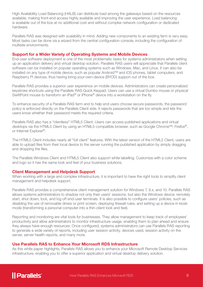High Availability Load Balancing (HALB) can distribute load among the gateways based on the resources available, making front-end access highly available and improving the user experience. Load balancing is available out of the box at no additional cost and without complex network configuration or dedicated hardware.

Parallels RAS was designed with scalability in mind. Adding new components to an existing farm is very easy. Most tasks can be done via a wizard from the central configuration console, including the configuration of multisite environments.

#### Support for a Wider Variety of Operating Systems and Mobile Devices

End-user software deployment is one of the most problematic tasks for systems administrators when setting up an application delivery and virtual desktop solution. Parallels RAS users will appreciate that Parallels client software can be installed on popular operating systems such as Windows, Mac, and Linux. It can also be installed on any type of mobile device, such as popular Android™ and iOS phones, tablet computers, and Raspberry Pi devices, thus having bring-your-own-device (BYOD) support out of the box.

Parallels RAS provides a superior user experience on mobile devices. Administrators can create personalized keystroke shortcuts using the Parallels RAS Quick Keypad. Users can use a virtual Dumbo mouse or physical SwiftPoint mouse to transform an iPad<sup>®</sup> or iPhone<sup>®</sup> device into a workstation on the fly.

To enhance security of a Parallels RAS farm and to help end users choose secure passwords, the password policy is enforced directly on the Parallels Client side. It rejects passwords that are too simple and lets the users know whether their password meets the required criteria.

Parallels RAS also has a "clientless" HTML5 Client. Users can access published applications and virtual desktops via the HTML5 Client by using an HTML5-compatible browser, such as Google Chrome™, Firefox®, or Internet Explorer®.

The HTML5 Client includes nearly all "full client" features. With the latest version of the HTML5 Client, users are able to upload files from their local device to the server running the published application by simply dragging and dropping the files.

The Parallels Windows Client and HTML5 Client also support white labelling. Customize with a color scheme and logo so it has the same look and feel of your business solutions.

#### Client Management and Helpdesk Support

When working with a large and complex infrastructure, it is important to have the right tools to simplify client management and helpdesk support.

Parallels RAS provides a comprehensive client management solution for Windows 7, 8.x, and 10. Parallels RAS allows systems administrators to shadow not only their users' sessions, but also the Windows device: remotely start, shut down, lock, and log off end-user terminals. It is also possible to configure users' policies, such as disabling the use of removable drives or print screen, deploying firewall rules, and setting up a device in kiosk mode (transforming a personal computer into a thin-client look and feel).

Reporting and monitoring are vital tools for businesses. They allow management to keep track of employees' productivity and allow administrators to monitor infrastructure usage, enabling them to plan ahead and ensure they always have enough resources. Once configured, systems administrators can use Parallels RAS reporting to generate a wide variety of reports, including user session activity, devices used, session activity on the server, server health reports, and many more.

#### Use Parallels RAS to Enhance Your Microsoft RDS Infrastructure

As this white paper highlights, Parallels RAS allows you to enhance your Microsoft Remote Desktop Services infrastructure, enabling you to offer a superior application and virtual desktop delivery solution.